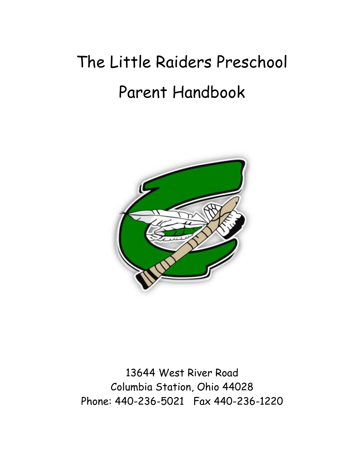# The Little Raiders Preschool Parent Handbook



13644 West River Road Columbia Station, Ohio 44028 Phone: 440-236-5021 Fax 440-236-1220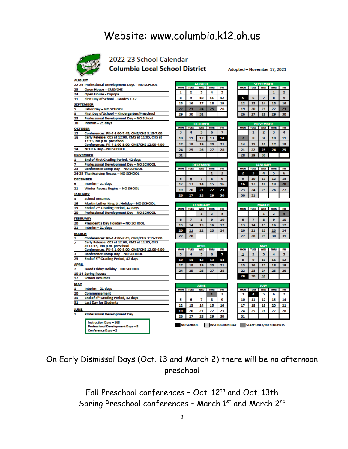# Website: www.columbia.k12.oh.us



### 2022-23 School Calendar **Columbia Local School District**

Adopted - November 17, 2021

图<br>6<br>13<br>20<br>27

 $\frac{10}{17}$ <br> $\frac{17}{24}$ <br> $\frac{24}{31}$ 

max 5<br>12<br>19<br>26

| <b>AUGUST</b>       |                                                                               |            |                  |                             |             |            |  |             | <b>SEPTEMBER</b>    |                 |                                               |     |  |  |
|---------------------|-------------------------------------------------------------------------------|------------|------------------|-----------------------------|-------------|------------|--|-------------|---------------------|-----------------|-----------------------------------------------|-----|--|--|
|                     | 22-25 Professional Development Days - NO SCHOOL                               | <b>MON</b> | <b>TUES</b>      | <b>AUGUST</b><br><b>WED</b> | <b>THRS</b> | <b>FRI</b> |  | <b>MON</b>  | <b>TUES</b>         | <b>WED</b>      | <b>THRS</b>                                   | FRI |  |  |
| 23                  | Open House - CMS/CHS                                                          | 1          | 2                | з                           | 4           | 5          |  |             |                     |                 | 1                                             | z   |  |  |
| 24                  | Open House - Copopa                                                           | 8          | 9                | 10                          | 11          | 12         |  | 5           | 6                   | 7               | 8                                             | 9   |  |  |
| 31                  | First Day of School - Grades 1-12                                             |            |                  |                             |             |            |  |             |                     |                 |                                               |     |  |  |
| <b>SEPTEMBER</b>    |                                                                               | 15         | 16               | 17                          | 18          | 19         |  | 12          | 13                  | 14              | 15                                            | 16  |  |  |
| 5                   | Labor Day - NO SCHOOL                                                         | 22         | 23               | 24                          | 25          | 26         |  | 19          | 20                  | 21              | 22                                            | 23  |  |  |
| 8                   | First Day of School - Kindergarten/Preschool                                  | 29         | 30               | 31                          |             |            |  | 26          | 27                  | 28              | 29                                            | 30  |  |  |
| 23                  | Professional Development Day - NO School                                      |            |                  |                             |             |            |  |             |                     |                 |                                               |     |  |  |
| 30                  | Interim - 21 days                                                             |            |                  | <b>OCTOBER</b>              |             |            |  |             |                     | <b>NOVEMBER</b> |                                               |     |  |  |
| <b>OCTOBER</b>      |                                                                               | <b>MON</b> | <b>TUES</b>      | WED                         | <b>THRS</b> | FRI        |  | <b>MON</b>  | <b>TUES</b>         | <b>WED</b>      | <b>THRS</b>                                   | FRI |  |  |
| 12                  | Conferences: PK-4 4:00-7:45, CMS/CHS 3:15-7:00                                | з          | 4                | 5                           | 6           | 7          |  |             | 1                   | 2               | з                                             | 4   |  |  |
| 13                  | Early Release: CES at 12:00, CMS at 11:05, CHS at<br>11:15; No p.m. preschool | 10         | 11               | 12                          | 13          | 14         |  | 7           | 8                   | 9               | 10                                            | 11  |  |  |
|                     | Conferences: PK-4 1:00-5:00, CMS/CHS 12:00-4:00                               | 17         | 18               | 19                          | 20          | 21         |  | 14          | 15                  | 16              | 17                                            | 18  |  |  |
| 14                  | <b>NEOEA Day - NO SCHOOL</b>                                                  | 24         | 25               | 26                          | 27          | 28         |  | 21          | 22                  | 23              | 24                                            | 25  |  |  |
| NOVEMBER            |                                                                               | 31         |                  |                             |             |            |  | 28          | 29                  | 30              |                                               |     |  |  |
| 1                   | End of First Grading Period, 42 days                                          |            |                  |                             |             |            |  |             |                     |                 |                                               |     |  |  |
| 7                   | Professional Development Day - NO SCHOOL                                      |            |                  | <b>DECEMBER</b>             |             |            |  |             |                     | <b>JANUARY</b>  |                                               |     |  |  |
| 23                  | Conference Comp Day - NO SCHOOL                                               | <b>MON</b> |                  | TUES WED THRS               |             | <b>FR1</b> |  |             | <b>MON TUES WED</b> |                 | <b>THRS</b>                                   | FRI |  |  |
|                     | 24-25 Thanksgiving Recess - NO SCHOOL                                         |            |                  |                             | 1           | 2          |  | 2           | з                   | Δ               | 5                                             | 6   |  |  |
| <b>DECEMBER</b>     |                                                                               | 5          | 6                | 7                           | 8           | 9          |  | 9           | 10                  | 11              | 12                                            | 13  |  |  |
| 6                   | Interim - 21 days                                                             | 12         | 13               | 14                          | 15          | 16         |  | 16          | 17                  | 18              | 19                                            | 20  |  |  |
| 21                  | <b>Winter Recess Begins - NO SHOOL</b>                                        |            |                  |                             |             |            |  |             |                     |                 |                                               |     |  |  |
|                     |                                                                               | 19         | 20               | 21                          | 22          | 23         |  | 23          | 24                  | 25              | 26                                            | 27  |  |  |
| <b>JANUARY</b><br>Δ | <b>School Resumes</b>                                                         | 26         | 27               | 28                          | 29          | 30         |  | 30          | 31                  |                 |                                               |     |  |  |
| 16                  | Martin Luther King, Jr. Holiday - NO SCHOOL                                   |            |                  |                             |             |            |  |             |                     |                 |                                               |     |  |  |
| 19                  | End of 2 <sup>nd</sup> Grading Period, 42 days                                |            |                  | <b>FEBRUARY</b>             |             |            |  |             |                     | <b>MARCH</b>    |                                               |     |  |  |
| 20                  | Professional Development Day - NO SCHOOL                                      | <b>MON</b> | <b>TUES</b>      | <b>WED</b>                  | <b>THRS</b> | FRI        |  | <b>MON</b>  | <b>TUES</b>         | <b>WED</b>      | <b>THRS</b>                                   | FRI |  |  |
|                     |                                                                               |            |                  | я                           | 2           | з          |  |             |                     | 1               | 2                                             | з   |  |  |
| <b>FEBRUARY</b>     |                                                                               | 6          | 7                | 8                           | 9           | 10         |  | 6           | 7                   | 8               | 9                                             | 10  |  |  |
| 20                  | President's Day Holiday - NO SCHOOL                                           | 13         | 14               | 15                          | 16          | 17         |  | 13          | 14                  | 15              | 16                                            | 17  |  |  |
| 21                  | Interim - 21 days                                                             | 20         | 21               | 22                          | 23          | 24         |  | 20          | 21                  | 22              | 23                                            | 24  |  |  |
| <b>MARCH</b>        |                                                                               | 27         | 28               |                             |             |            |  | 27          | 28                  | 29              | 30                                            | 31  |  |  |
| 1                   | Conferences: PK-4 4:00-7:45, CMS/CHS 3:15-7:00                                |            |                  |                             |             |            |  |             |                     |                 |                                               |     |  |  |
| 2                   | Early Release: CES at 12:00, CMS at 11:05, CHS<br>at 11:15, No p.m. preschool |            |                  | <b>APPI</b>                 |             |            |  |             |                     | <b>MAY</b>      |                                               |     |  |  |
|                     | Conferences: PK-4 1:00-5:00, CMS/CHS 12:00-4:00                               | <b>MON</b> | <b>TUES</b>      | <b>WED</b>                  | <b>THRS</b> | FRI        |  | <b>MON</b>  | TUES                | <b>WED</b>      | <b>THRS</b>                                   | FRI |  |  |
| з                   | Conference Comp Day - NO SCHOOL                                               | з          | 4                | 5                           | 6           | 7          |  |             | 2                   | з               | 4                                             | 5   |  |  |
| 23                  | End of 3 <sup>rd</sup> Grading Period, 42 days                                | 10         | 11               | 12                          | 13          | 14         |  | $\mathbf R$ | 9                   | 10              | 11                                            | 12  |  |  |
| <b>APRIL</b>        |                                                                               | 17         | 18               | 19                          | 20          | 21         |  | 15          | 16                  | 17              | 18                                            | 19  |  |  |
| 7                   | Good Friday Holiday - NO SCHOOL                                               |            |                  |                             |             |            |  |             |                     |                 |                                               |     |  |  |
|                     | 10-14 Spring Recess                                                           | 24         | 25               | 26                          | 27          | 28         |  | 22          | 23                  | 24              | 25                                            | 26  |  |  |
| 17                  | <b>School Resumes</b>                                                         |            |                  |                             |             |            |  | 29          | 30                  | 31              |                                               |     |  |  |
| <b>MAY</b>          |                                                                               |            |                  |                             |             |            |  |             |                     |                 |                                               |     |  |  |
| 1                   | Interim - 21 days                                                             |            |                  | <b>JUNE</b>                 |             |            |  |             |                     | <b>JULY</b>     |                                               |     |  |  |
| 20                  | Commencement                                                                  | <b>MON</b> | <b>TUES</b>      | <b>WED</b>                  | <b>THRS</b> | FRI        |  | <b>MON</b>  | <b>TUES</b>         | <b>WED</b>      | <b>THRS</b>                                   | FRI |  |  |
| 31                  | End of 4th Grading Period, 42 days                                            |            |                  |                             | 1           | 2          |  | з           | 4                   | 5               | 6                                             | 7   |  |  |
| 31                  | <b>Last Day for Students</b>                                                  | 5          | 6                | 7                           | 8           | 9          |  | 10          | 11                  | 12              | 13                                            | 14  |  |  |
|                     |                                                                               | 12         | 13               | 14                          | 15          | 16         |  | 17          | 18                  | 19              | 20                                            | 21  |  |  |
| <b>JUNE</b>         |                                                                               | 19         | 20               | 21                          | 22          | 23         |  | 24          | 25                  | 26              | 27                                            | 28  |  |  |
| 1                   | <b>Professional Development Day</b>                                           | 26         | 27               | 28                          | 29          | 30         |  | 31          |                     |                 |                                               |     |  |  |
|                     |                                                                               |            |                  |                             |             |            |  |             |                     |                 |                                               |     |  |  |
|                     | <b>Instruction Days - 168</b><br><b>Professional Development Days - 8</b>     |            | <b>NO SCHOOL</b> |                             |             |            |  |             |                     |                 | <b>INSTRUCTION DAY STAFF ONLY/NO STUDENTS</b> |     |  |  |
|                     | <b>Conference Days - 2</b>                                                    |            |                  |                             |             |            |  |             |                     |                 |                                               |     |  |  |

On Early Dismissal Days (Oct. 13 and March 2) there will be no afternoon preschool

> Fall Preschool conferences - Oct. 12<sup>th</sup> and Oct. 13th Spring Preschool conferences - March 1st and March 2nd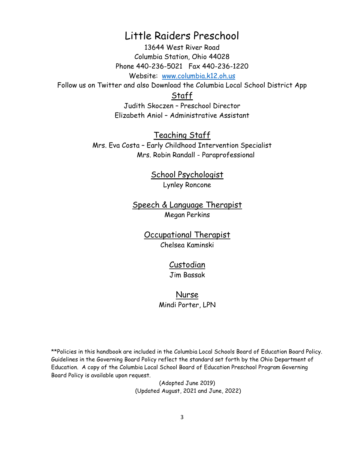# Little Raiders Preschool

13644 West River Road Columbia Station, Ohio 44028 Phone 440-236-5021 Fax 440-236-1220 Website: [www.columbia.k12.oh.us](http://www.columbia.k12.oh.us/)

Follow us on Twitter and also Download the Columbia Local School District App

Staff

Judith Skoczen – Preschool Director Elizabeth Aniol – Administrative Assistant

Teaching Staff Mrs. Eva Costa – Early Childhood Intervention Specialist Mrs. Robin Randall - Paraprofessional

> School Psychologist Lynley Roncone

Speech & Language Therapist Megan Perkins

> Occupational Therapist Chelsea Kaminski

> > Custodian Jim Bassak

Nurse Mindi Porter, LPN

\*\*Policies in this handbook are included in the Columbia Local Schools Board of Education Board Policy. Guidelines in the Governing Board Policy reflect the standard set forth by the Ohio Department of Education. A copy of the Columbia Local School Board of Education Preschool Program Governing Board Policy is available upon request.

> (Adopted June 2019) (Updated August, 2021 and June, 2022)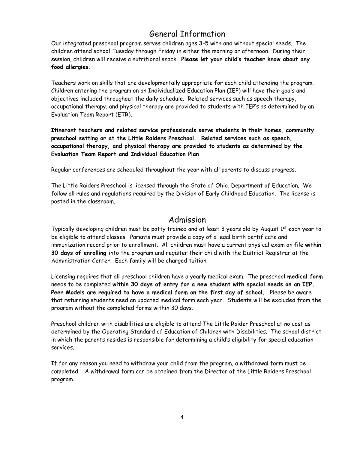# General Information

Our integrated preschool program serves children ages 3-5 with and without special needs. The children attend school Tuesday through Friday in either the morning or afternoon. During their session, children will receive a nutritional snack. **Please let your child's teacher know about any food allergies.** 

Teachers work on skills that are developmentally appropriate for each child attending the program. Children entering the program on an Individualized Education Plan (IEP) will have their goals and objectives included throughout the daily schedule. Related services such as speech therapy, occupational therapy, and physical therapy are provided to students with IEP's as determined by an Evaluation Team Report (ETR).

**Itinerant teachers and related service professionals serve students in their homes, community preschool setting or at the Little Raiders Preschool. Related services such as speech, occupational therapy, and physical therapy are provided to students as determined by the Evaluation Team Report and Individual Education Plan.** 

Regular conferences are scheduled throughout the year with all parents to discuss progress.

The Little Raiders Preschool is licensed through the State of Ohio, Department of Education. We follow all rules and regulations required by the Division of Early Childhood Education. The license is posted in the classroom.

### Admission

Typically developing children must be potty trained and at least 3 years old by August 1<sup>st</sup> each year to be eligible to attend classes. Parents must provide a copy of a legal birth certificate and immunization record prior to enrollment. All children must have a current physical exam on file **within 30 days of enrolling** into the program and register their child with the District Registrar at the Administration Center. Each family will be charged tuition.

Licensing requires that all preschool children have a yearly medical exam. The preschool **medical form** needs to be completed **within 30 days of entry for a new student with special needs on an IEP. Peer Models are required to have a medical form on the first day of school.** Please be aware that returning students need an updated medical form each year. Students will be excluded from the program without the completed forms within 30 days.

Preschool children with disabilities are eligible to attend The Little Raider Preschool at no cost as determined by the Operating Standard of Education of Children with Disabilities. The school district in which the parents resides is responsible for determining a child's eligibility for special education services.

If for any reason you need to withdraw your child from the program, a withdrawal form must be completed. A withdrawal form can be obtained from the Director of the Little Raiders Preschool program.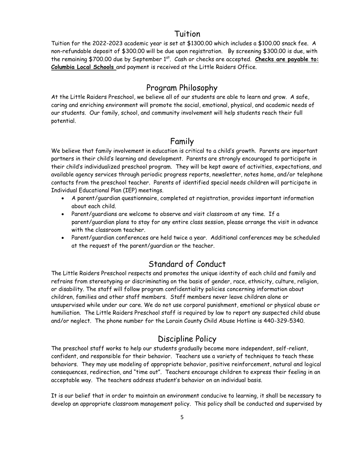### Tuition

Tuition for the 2022-2023 academic year is set at \$1300.00 which includes a \$100.00 snack fee. A non-refundable deposit of \$300.00 will be due upon registration. By screening \$300.00 is due, with the remaining \$700.00 due by September 1<sup>st</sup>. Cash or checks are accepted. Checks are payable to: **Columbia Local Schools** and payment is received at the Little Raiders Office.

# Program Philosophy

At the Little Raiders Preschool, we believe all of our students are able to learn and grow. A safe, caring and enriching environment will promote the social, emotional, physical, and academic needs of our students. Our family, school, and community involvement will help students reach their full potential.

# Family

We believe that family involvement in education is critical to a child's growth. Parents are important partners in their child's learning and development. Parents are strongly encouraged to participate in their child's individualized preschool program. They will be kept aware of activities, expectations, and available agency services through periodic progress reports, newsletter, notes home, and/or telephone contacts from the preschool teacher. Parents of identified special needs children will participate in Individual Educational Plan (IEP) meetings.

- A parent/guardian questionnaire, completed at registration, provides important information about each child.
- Parent/guardians are welcome to observe and visit classroom at any time. If a parent/guardian plans to stay for any entire class session, please arrange the visit in advance with the classroom teacher.
- Parent/guardian conferences are held twice a year. Additional conferences may be scheduled at the request of the parent/guardian or the teacher.

# Standard of Conduct

The Little Raiders Preschool respects and promotes the unique identity of each child and family and refrains from stereotyping or discriminating on the basis of gender, race, ethnicity, culture, religion, or disability. The staff will follow program confidentiality policies concerning information about children, families and other staff members. Staff members never leave children alone or unsupervised while under our care. We do not use corporal punishment, emotional or physical abuse or humiliation. The Little Raiders Preschool staff is required by law to report any suspected child abuse and/or neglect. The phone number for the Lorain County Child Abuse Hotline is 440-329-5340.

# Discipline Policy

The preschool staff works to help our students gradually become more independent, self-reliant, confident, and responsible for their behavior. Teachers use a variety of techniques to teach these behaviors. They may use modeling of appropriate behavior, positive reinforcement, natural and logical consequences, redirection, and "time out". Teachers encourage children to express their feeling in an acceptable way. The teachers address student's behavior on an individual basis.

It is our belief that in order to maintain an environment conducive to learning, it shall be necessary to develop an appropriate classroom management policy. This policy shall be conducted and supervised by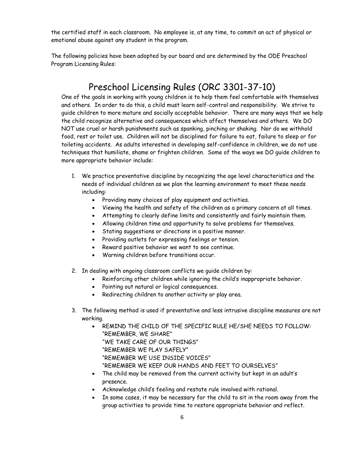the certified staff in each classroom. No employee is, at any time, to commit an act of physical or emotional abuse against any student in the program.

The following policies have been adopted by our board and are determined by the ODE Preschool Program Licensing Rules:

# Preschool Licensing Rules (ORC 3301-37-10)

One of the goals in working with young children is to help them feel comfortable with themselves and others. In order to do this, a child must learn self-control and responsibility. We strive to guide children to more mature and socially acceptable behavior. There are many ways that we help the child recognize alternative and consequences which affect themselves and others. We DO NOT use cruel or harsh punishments such as spanking, pinching or shaking. Nor do we withhold food, rest or toilet use. Children will not be disciplined for failure to eat, failure to sleep or for toileting accidents. As adults interested in developing self-confidence in children, we do not use techniques that humiliate, shame or frighten children. Some of the ways we DO guide children to more appropriate behavior include:

- 1. We practice preventative discipline by recognizing the age level characteristics and the needs of individual children as we plan the learning environment to meet these needs including:
	- Providing many choices of play equipment and activities.
	- Viewing the health and safety of the children as a primary concern at all times.
	- Attempting to clearly define limits and consistently and fairly maintain them.
	- Allowing children time and opportunity to solve problems for themselves.
	- Stating suggestions or directions in a positive manner.
	- Providing outlets for expressing feelings or tension.
	- Reward positive behavior we want to see continue.
	- Warning children before transitions occur.
- 2. In dealing with ongoing classroom conflicts we guide children by:
	- Reinforcing other children while ignoring the child's inappropriate behavior.
	- Pointing out natural or logical consequences.
	- Redirecting children to another activity or play area.
- 3. The following method is used if preventative and less intrusive discipline measures are not working.
	- REMIND THE CHILD OF THE SPECIFIC RULE HE/SHE NEEDS TO FOLLOW: "REMEMBER, WE SHARE" "WE TAKE CARE OF OUR THINGS" "REMEMBER WE PLAY SAFELY" "REMEMBER WE USE INSIDE VOICES" "REMEMBER WE KEEP OUR HANDS AND FEET TO OURSELVES"
	- The child may be removed from the current activity but kept in an adult's presence.
	- Acknowledge child's feeling and restate rule involved with rational.
	- In some cases, it may be necessary for the child to sit in the room away from the group activities to provide time to restore appropriate behavior and reflect.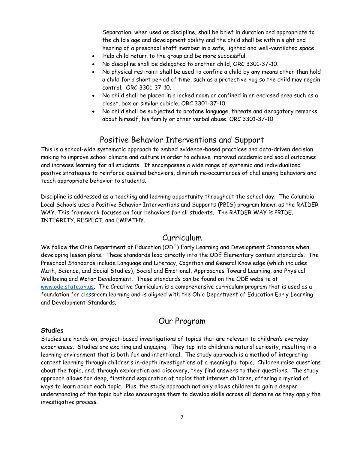Separation, when used as discipline, shall be brief in duration and appropriate to the child's age and development ability and the child shall be within sight and hearing of a preschool staff member in a safe, lighted and well-ventilated space.

- Help child return to the group and be more successful.
- No discipline shall be delegated to another child, ORC 3301-37-10.
- No physical restraint shall be used to confine a child by any means other than hold a child for a short period of time, such as a protective hug so the child may regain control. ORC 3301-37-10.
- No child shall be placed in a locked room or confined in an enclosed area such as a closet, box or similar cubicle, ORC 3301-37-10.
- No child shall be subjected to profane language, threats and derogatory remarks about himself, his family or other verbal abuse. ORC 3301-37-10

### Positive Behavior Interventions and Support

This is a school-wide systematic approach to embed evidence-based practices and data-driven decision making to improve school climate and culture in order to achieve improved academic and social outcomes and increase learning for all students. It encompasses a wide range of systemic and individualized positive strategies to reinforce desired behaviors, diminish re-occurrences of challenging behaviors and teach appropriate behavior to students.

Discipline is addressed as a teaching and learning opportunity throughout the school day. The Columbia Local Schools uses a Positive Behavior Interventions and Supports (PBIS) program known as the RAIDER WAY. This framework focuses on four behaviors for all students. The RAIDER WAY is PRIDE, INTEGRITY, RESPECT, and EMPATHY.

### Curriculum

We follow the Ohio Department of Education (ODE) Early Learning and Development Standards when developing lesson plans. These standards lead directly into the ODE Elementary content standards. The Preschool Standards include Language and Literacy, Cognition and General Knowledge (which includes Math, Science, and Social Studies), Social and Emotional, Approaches Toward Learning, and Physical Wellbeing and Motor Development. These standards can be found on the ODE website at [www.ode.state.oh.us.](http://www.ode.state.oh.us/) The Creative Curriculum is a comprehensive curriculum program that is used as a foundation for classroom learning and is aligned with the Ohio Department of Education Early Learning and Development Standards.

### Our Program

#### **Studies**

Studies are hands-on, project-based investigations of topics that are relevant to children's everyday experiences. Studies are exciting and engaging. They tap into children's natural curiosity, resulting in a learning environment that is both fun and intentional. The study approach is a method of integrating content learning through children's in-depth investigations of a meaningful topic. Children raise questions about the topic, and, through exploration and discovery, they find answers to their questions. The study approach allows for deep, firsthand exploration of topics that interest children, offering a myriad of ways to learn about each topic. Plus, the study approach not only allows children to gain a deeper understanding of the topic but also encourages them to develop skills across all domains as they apply the investigative process.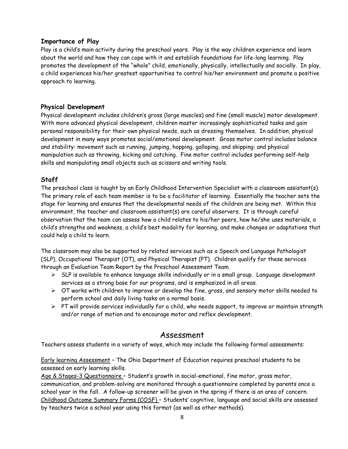#### **Importance of Play**

Play is a child's main activity during the preschool years. Play is the way children experience and learn about the world and how they can cope with it and establish foundations for life-long learning. Play promotes the development of the "whole" child, emotionally, physically, intellectually and socially. In play, a child experiences his/her greatest opportunities to control his/her environment and promote a positive approach to learning.

#### **Physical Development**

Physical development includes children's gross (large muscles) and fine (small muscle) motor development. With more advanced physical development, children master increasingly sophisticated tasks and gain personal responsibility for their own physical needs, such as dressing themselves. In addition, physical development in many ways promotes social/emotional development. Gross motor control includes balance and stability: movement such as running, jumping, hopping, galloping, and skipping: and physical manipulation such as throwing, kicking and catching. Fine motor control includes performing self-help skills and manipulating small objects such as scissors and writing tools.

#### **Staff**

The preschool class is taught by an Early Childhood Intervention Specialist with a classroom assistant(s). The primary role of each team member is to be a facilitator of learning. Essentially the teacher sets the stage for learning and ensures that the developmental needs of the children are being met. Within this environment, the teacher and classroom assistant(s) are careful observers. It is through careful observation that the team can assess how a child relates to his/her peers, how he/she uses materials, a child's strengths and weakness, a child's best modality for learning, and make changes or adaptations that could help a child to learn.

The classroom may also be supported by related services such as a Speech and Language Pathologist (SLP), Occupational Therapist (OT), and Physical Therapist (PT). Children qualify for these services through an Evaluation Team Report by the Preschool Assessment Team.

- $\triangleright$  SLP is available to enhance language skills individually or in a small group. Language development services as a strong base for our programs, and is emphasized in all areas.
- $\triangleright$  OT works with children to improve or develop the fine, gross, and sensory motor skills needed to perform school and daily living tasks on a normal basis.
- $\triangleright$  PT will provide services individually for a child, who needs support, to improve or maintain strength and/or range of motion and to encourage motor and reflex development.

#### Assessment

Teachers assess students in a variety of ways, which may include the following formal assessments:

Early learning Assessment – The Ohio Department of Education requires preschool students to be assessed on early learning skills.

Age & Stages-3 Questionnaire – Student's growth in social-emotional, fine motor, gross motor, communication, and problem-solving are monitored through a questionnaire completed by parents once a school year in the fall. A follow-up screener will be given in the spring if there is an area of concern. Childhood Outcome Summary Forms (COSF) – Students' cognitive, language and social skills are assessed by teachers twice a school year using this format (as well as other methods).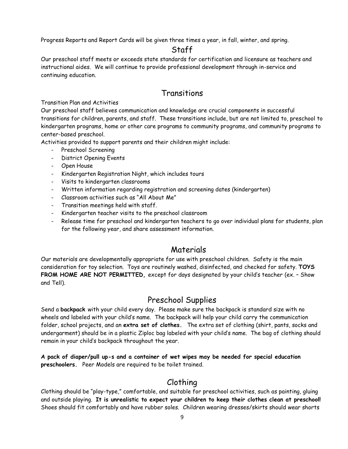Progress Reports and Report Cards will be given three times a year, in fall, winter, and spring.

### Staff

Our preschool staff meets or exceeds state standards for certification and licensure as teachers and instructional aides. We will continue to provide professional development through in-service and continuing education.

### Transitions

Transition Plan and Activities

Our preschool staff believes communication and knowledge are crucial components in successful transitions for children, parents, and staff. These transitions include, but are not limited to, preschool to kindergarten programs, home or other care programs to community programs, and community programs to center-based preschool.

Activities provided to support parents and their children might include:

- Preschool Screening
- District Opening Events
- Open House
- Kindergarten Registration Night, which includes tours
- Visits to kindergarten classrooms
- Written information regarding registration and screening dates (kindergarten)
- Classroom activities such as "All About Me"
- Transition meetings held with staff.
- Kindergarten teacher visits to the preschool classroom
- Release time for preschool and kindergarten teachers to go over individual plans for students, plan for the following year, and share assessment information.

### Materials

Our materials are developmentally appropriate for use with preschool children. Safety is the main consideration for toy selection. Toys are routinely washed, disinfected, and checked for safety. **TOYS FROM HOME ARE NOT PERMITTED,** except for days designated by your child's teacher (ex. – Show and Tell).

### Preschool Supplies

Send a **backpack** with your child every day. Please make sure the backpack is standard size with no wheels and labeled with your child's name. The backpack will help your child carry the communication folder, school projects, and an **extra set of clothes.** The extra set of clothing (shirt, pants, socks and undergarment) should be in a plastic Ziploc bag labeled with your child's name. The bag of clothing should remain in your child's backpack throughout the year.

**A pack of diaper/pull up-s and a container of wet wipes may be needed for special education preschoolers.** Peer Models are required to be toilet trained.

# Clothing

Clothing should be "play-type," comfortable, and suitable for preschool activities, such as painting, gluing and outside playing. **It is unrealistic to expect your children to keep their clothes clean at preschool!**  Shoes should fit comfortably and have rubber soles. Children wearing dresses/skirts should wear shorts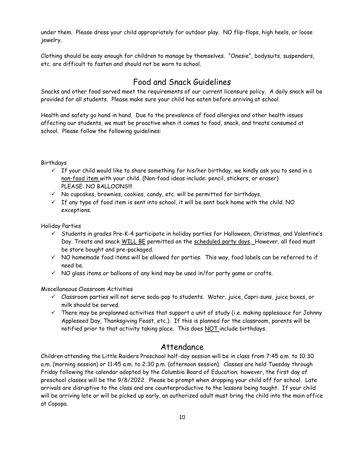under them. Please dress your child appropriately for outdoor play. NO flip-flops, high heels, or loose jewelry.

Clothing should be easy enough for children to manage by themselves. "Onesie", bodysuits, suspenders, etc. are difficult to fasten and should not be worn to school.

# Food and Snack Guidelines

Snacks and other food served meet the requirements of our current licensure policy. A daily snack will be provided for all students. Please make sure your child has eaten before arriving at school.

Health and safety go hand in hand. Due to the prevalence of food allergies and other health issues affecting our students, we must be proactive when it comes to food, snack, and treats consumed at school. Please follow the following guidelines:

#### Birthdays

- $\checkmark$  If your child would like to share something for his/her birthday, we kindly ask you to send in a non-food item with your child. (Non-food ideas include: pencil, stickers, or eraser) PLEASE: NO BALLOONS!!!
- $\checkmark$  No cupcakes, brownies, cookies, candy, etc. will be permitted for birthdays.
- $\checkmark$  If any type of food item is sent into school, it will be sent back home with the child. NO exceptions.

Holiday Parties

- $\checkmark$  Students in grades Pre-K-4 participate in holiday parties for Halloween, Christmas, and Valentine's Day. Treats and snack WILL BE permitted on the scheduled party days. However, all food must be store bought and pre-packaged.
- ✓ NO homemade food items will be allowed for parties. This way, food labels can be referred to if need be.
- $\checkmark$  NO glass items or balloons of any kind may be used in/for party game or crafts.

Miscellaneous Classroom Activities

- ✓ Classroom parties will not serve soda-pop to students. Water, juice, Capri-suns, juice boxes, or milk should be served.
- $\checkmark$  There may be preplanned activities that support a unit of study (i.e. making applesauce for Johnny Appleseed Day, Thanksgiving Feast, etc.). If this is planned for the classroom, parents will be notified prior to that activity taking place. This does NOT include birthdays.

### Attendance

Children attending the Little Raiders Preschool half-day session will be in class from 7:45 a.m. to 10:30 a.m. (morning session) or 11:45 a.m. to 2:30 p.m. (afternoon session). Classes are held Tuesday through Friday following the calendar adopted by the Columbia Board of Education; however, the first day of preschool classes will be the 9/8/2022. Please be prompt when dropping your child off for school. Late arrivals are disruptive to the class and are counterproductive to the lessons being taught. If your child will be arriving late or will be picked up early, an authorized adult must bring the child into the main office at Copopa.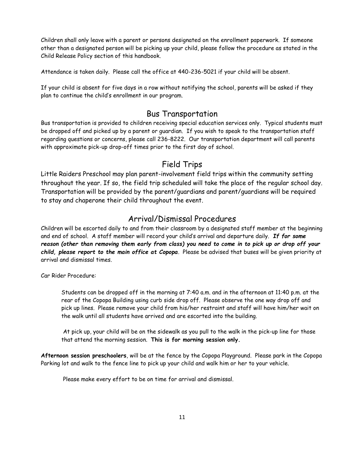Children shall only leave with a parent or persons designated on the enrollment paperwork. If someone other than a designated person will be picking up your child, please follow the procedure as stated in the Child Release Policy section of this handbook.

Attendance is taken daily. Please call the office at 440-236-5021 if your child will be absent.

If your child is absent for five days in a row without notifying the school, parents will be asked if they plan to continue the child's enrollment in our program.

### Bus Transportation

Bus transportation is provided to children receiving special education services only. Typical students must be dropped off and picked up by a parent or guardian. If you wish to speak to the transportation staff regarding questions or concerns, please call 236-8222. Our transportation department will call parents with approximate pick-up drop-off times prior to the first day of school.

### Field Trips

Little Raiders Preschool may plan parent-involvement field trips within the community setting throughout the year. If so, the field trip scheduled will take the place of the regular school day. Transportation will be provided by the parent/guardians and parent/guardians will be required to stay and chaperone their child throughout the event.

### Arrival/Dismissal Procedures

Children will be escorted daily to and from their classroom by a designated staff member at the beginning and end of school. A staff member will record your child's arrival and departure daily. *If for some reason (other than removing them early from class) you need to come in to pick up or drop off your child, please report to the main office at Copopa.* Please be advised that buses will be given priority at arrival and dismissal times.

Car Rider Procedure:

Students can be dropped off in the morning at 7:40 a.m. and in the afternoon at 11:40 p.m. at the rear of the Copopa Building using curb side drop off. Please observe the one way drop off and pick up lines. Please remove your child from his/her restraint and staff will have him/her wait on the walk until all students have arrived and are escorted into the building.

At pick up, your child will be on the sidewalk as you pull to the walk in the pick-up line for those that attend the morning session. **This is for morning session only.** 

**Afternoon session preschoolers**, will be at the fence by the Copopa Playground. Please park in the Copopa Parking lot and walk to the fence line to pick up your child and walk him or her to your vehicle.

Please make every effort to be on time for arrival and dismissal.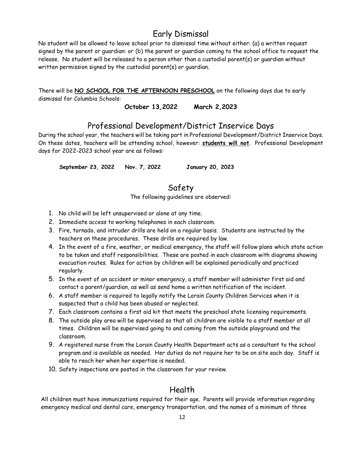# Early Dismissal

No student will be allowed to leave school prior to dismissal time without either: (a) a written request signed by the parent or guardian: or (b) the parent or guardian coming to the school office to request the release. No student will be released to a person other than a custodial parent(s) or guardian without written permission signed by the custodial parent(s) or guardian.

There will be **NO SCHOOL FOR THE AFTERNOON PRESCHOOL** on the following days due to early dismissal for Columbia Schools:

**October 13,2022 March 2,2023**

### Professional Development/District Inservice Days

During the school year, the teachers will be taking part in Professional Development/District Inservice Days. On these dates, teachers will be attending school, however: **students will not**. Professional Development days for 2022-2023 school year are as follows:

 **September 23, 2022 Nov. 7, 2022 January 20, 2023**

### Safety

The following guidelines are observed:

- 1. No child will be left unsupervised or alone at any time.
- 2. Immediate access to working telephones in each classroom.
- 3. Fire, tornado, and intruder drills are held on a regular basis. Students are instructed by the teachers on these procedures. These drills are required by law.
- 4. In the event of a fire, weather, or medical emergency, the staff will follow plans which state action to be taken and staff responsibilities. These are posted in each classroom with diagrams showing evacuation routes. Rules for action by children will be explained periodically and practiced regularly.
- 5. In the event of an accident or minor emergency, a staff member will administer first aid and contact a parent/guardian, as well as send home a written notification of the incident.
- 6. A staff member is required to legally notify the Lorain County Children Services when it is suspected that a child has been abused or neglected.
- 7. Each classroom contains a first aid kit that meets the preschool state licensing requirements.
- 8. The outside play area will be supervised so that all children are visible to a staff member at all times. Children will be supervised going to and coming from the outside playground and the classroom.
- 9. A registered nurse from the Lorain County Health Department acts as a consultant to the school program and is available as needed. Her duties do not require her to be on site each day. Staff is able to reach her when her expertise is needed.
- 10. Safety inspections are posted in the classroom for your review.

### Health

All children must have immunizations required for their age. Parents will provide information regarding emergency medical and dental care, emergency transportation, and the names of a minimum of three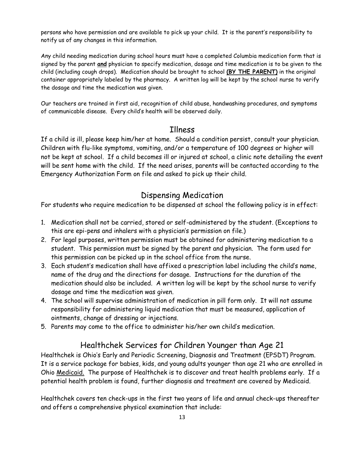persons who have permission and are available to pick up your child. It is the parent's responsibility to notify us of any changes in this information.

Any child needing medication during school hours must have a completed Columbia medication form that is signed by the parent **and** physician to specify medication, dosage and time medication is to be given to the child (including cough drops). Medication should be brought to school **(BY THE PARENT)** in the original container appropriately labeled by the pharmacy. A written log will be kept by the school nurse to verify the dosage and time the medication was given.

Our teachers are trained in first aid, recognition of child abuse, handwashing procedures, and symptoms of communicable disease. Every child's health will be observed daily.

### Illness

If a child is ill, please keep him/her at home. Should a condition persist, consult your physician. Children with flu-like symptoms, vomiting, and/or a temperature of 100 degrees or higher will not be kept at school. If a child becomes ill or injured at school, a clinic note detailing the event will be sent home with the child. If the need arises, parents will be contacted according to the Emergency Authorization Form on file and asked to pick up their child.

### Dispensing Medication

For students who require medication to be dispensed at school the following policy is in effect:

- 1. Medication shall not be carried, stored or self-administered by the student. (Exceptions to this are epi-pens and inhalers with a physician's permission on file.)
- 2. For legal purposes, written permission must be obtained for administering medication to a student. This permission must be signed by the parent and physician. The form used for this permission can be picked up in the school office from the nurse.
- 3. Each student's medication shall have affixed a prescription label including the child's name, name of the drug and the directions for dosage. Instructions for the duration of the medication should also be included. A written log will be kept by the school nurse to verify dosage and time the medication was given.
- 4. The school will supervise administration of medication in pill form only. It will not assume responsibility for administering liquid medication that must be measured, application of ointments, change of dressing or injections.
- 5. Parents may come to the office to administer his/her own child's medication.

# Healthchek Services for Children Younger than Age 21

Healthchek is Ohio's Early and Periodic Screening, Diagnosis and Treatment (EPSDT) Program. It is a service package for babies, kids, and young adults younger than age 21 who are enrolled in Ohio Medicaid. The purpose of Healthchek is to discover and treat health problems early. If a potential health problem is found, further diagnosis and treatment are covered by Medicaid.

Healthchek covers ten check-ups in the first two years of life and annual check-ups thereafter and offers a comprehensive physical examination that include: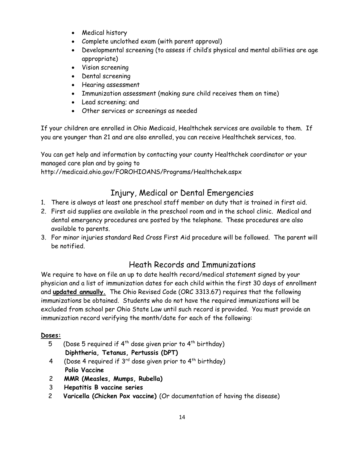- Medical history
- Complete unclothed exam (with parent approval)
- Developmental screening (to assess if child's physical and mental abilities are age appropriate)
- Vision screening
- Dental screening
- Hearing assessment
- Immunization assessment (making sure child receives them on time)
- Lead screening; and
- Other services or screenings as needed

If your children are enrolled in Ohio Medicaid, Healthchek services are available to them. If you are younger than 21 and are also enrolled, you can receive Healthchek services, too.

You can get help and information by contacting your county Healthchek coordinator or your managed care plan and by going to

http://medicaid.ohio.gov/FOROHIOANS/Programs/Healthchek.aspx

# Injury, Medical or Dental Emergencies

- 1. There is always at least one preschool staff member on duty that is trained in first aid.
- 2. First aid supplies are available in the preschool room and in the school clinic. Medical and dental emergency procedures are posted by the telephone. These procedures are also available to parents.
- 3. For minor injuries standard Red Cross First Aid procedure will be followed. The parent will be notified.

# Heath Records and Immunizations

We require to have on file an up to date health record/medical statement signed by your physician and a list of immunization dates for each child within the first 30 days of enrollment and **updated annually.** The Ohio Revised Code (ORC 3313.67) requires that the following immunizations be obtained. Students who do not have the required immunizations will be excluded from school per Ohio State Law until such record is provided. You must provide an immunization record verifying the month/date for each of the following:

### **Doses:**

- 5 (Dose 5 required if  $4^{th}$  dose given prior to  $4^{th}$  birthday) **Diphtheria, Tetanus, Pertussis (DPT)**
- 4 (Dose 4 required if 3rd dose given prior to 4th birthday) **Polio Vaccine**
- 2 **MMR (Measles, Mumps, Rubella)**
- 3 **Hepatitis B vaccine series**
- 2 **Varicella (Chicken Pox vaccine)** (Or documentation of having the disease)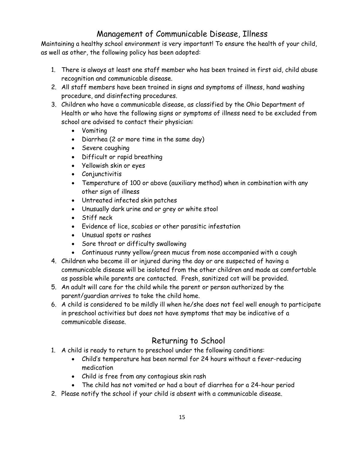# Management of Communicable Disease, Illness

Maintaining a healthy school environment is very important! To ensure the health of your child, as well as other, the following policy has been adopted:

- 1. There is always at least one staff member who has been trained in first aid, child abuse recognition and communicable disease.
- 2. All staff members have been trained in signs and symptoms of illness, hand washing procedure, and disinfecting procedures.
- 3. Children who have a communicable disease, as classified by the Ohio Department of Health or who have the following signs or symptoms of illness need to be excluded from school are advised to contact their physician:
	- Vomiting
	- Diarrhea (2 or more time in the same day)
	- Severe coughing
	- Difficult or rapid breathing
	- Yellowish skin or eyes
	- Conjunctivitis
	- Temperature of 100 or above (auxiliary method) when in combination with any other sign of illness
	- Untreated infected skin patches
	- Unusually dark urine and or grey or white stool
	- Stiff neck
	- Evidence of lice, scabies or other parasitic infestation
	- Unusual spots or rashes
	- Sore throat or difficulty swallowing
	- Continuous runny yellow/green mucus from nose accompanied with a cough
- 4. Children who become ill or injured during the day or are suspected of having a communicable disease will be isolated from the other children and made as comfortable as possible while parents are contacted. Fresh, sanitized cot will be provided.
- 5. An adult will care for the child while the parent or person authorized by the parent/guardian arrives to take the child home.
- 6. A child is considered to be mildly ill when he/she does not feel well enough to participate in preschool activities but does not have symptoms that may be indicative of a communicable disease.

# Returning to School

- 1. A child is ready to return to preschool under the following conditions:
	- Child's temperature has been normal for 24 hours without a fever-reducing medication
	- Child is free from any contagious skin rash
	- The child has not vomited or had a bout of diarrhea for a 24-hour period
- 2. Please notify the school if your child is absent with a communicable disease.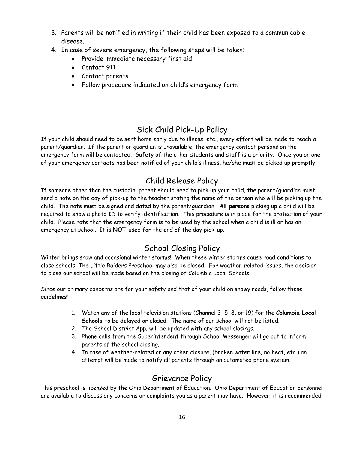- 3. Parents will be notified in writing if their child has been exposed to a communicable disease.
- 4. In case of severe emergency, the following steps will be taken:
	- Provide immediate necessary first aid
	- Contact 911
	- Contact parents
	- Follow procedure indicated on child's emergency form

# Sick Child Pick-Up Policy

If your child should need to be sent home early due to illness, etc., every effort will be made to reach a parent/guardian. If the parent or guardian is unavailable, the emergency contact persons on the emergency form will be contacted. Safety of the other students and staff is a priority. Once you or one of your emergency contacts has been notified of your child's illness, he/she must be picked up promptly.

# Child Release Policy

If someone other than the custodial parent should need to pick up your child, the parent/guardian must send a note on the day of pick-up to the teacher stating the name of the person who will be picking up the child. The note must be signed and dated by the parent/guardian. **All persons** picking up a child will be required to show a photo ID to verify identification. This procedure is in place for the protection of your child. Please note that the emergency form is to be used by the school when a child is ill or has an emergency at school. It is **NOT** used for the end of the day pick-up.

# School Closing Policy

Winter brings snow and occasional winter storms! When these winter storms cause road conditions to close schools, The Little Raiders Preschool may also be closed. For weather-related issues, the decision to close our school will be made based on the closing of Columbia Local Schools.

Since our primary concerns are for your safety and that of your child on snowy roads, follow these guidelines:

- 1. Watch any of the local television stations (Channel 3, 5, 8, or 19) for the **Columbia Local Schools** to be delayed or closed. The name of our school will not be listed.
- 2. The School District App. will be updated with any school closings.
- 3. Phone calls from the Superintendent through School Messenger will go out to inform parents of the school closing.
- 4. In case of weather-related or any other closure, (broken water line, no heat, etc.) an attempt will be made to notify all parents through an automated phone system.

### Grievance Policy

This preschool is licensed by the Ohio Department of Education. Ohio Department of Education personnel are available to discuss any concerns or complaints you as a parent may have. However, it is recommended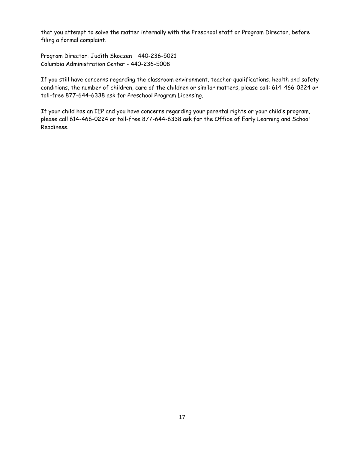that you attempt to solve the matter internally with the Preschool staff or Program Director, before filing a formal complaint.

Program Director: Judith Skoczen – 440-236-5021 Columbia Administration Center - 440-236-5008

If you still have concerns regarding the classroom environment, teacher qualifications, health and safety conditions, the number of children, care of the children or similar matters, please call: 614-466-0224 or toll-free 877-644-6338 ask for Preschool Program Licensing.

If your child has an IEP and you have concerns regarding your parental rights or your child's program, please call 614-466-0224 or toll-free 877-644-6338 ask for the Office of Early Learning and School Readiness.